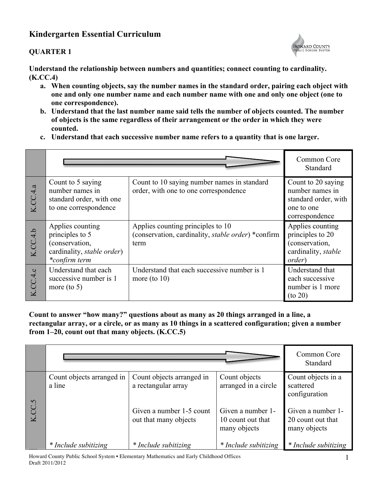# **Kindergarten Essential Curriculum**

# **QUARTER 1**



**Understand the relationship between numbers and quantities; connect counting to cardinality. (K.CC.4)**

- **a. When counting objects, say the number names in the standard order, pairing each object with one and only one number name and each number name with one and only one object (one to one correspondence).**
- **b. Understand that the last number name said tells the number of objects counted. The number of objects is the same regardless of their arrangement or the order in which they were counted.**
- **c. Understand that each successive number name refers to a quantity that is one larger.**

|          |                                                                                                              |                                                                                                         | Common Core<br>Standard                                                                         |
|----------|--------------------------------------------------------------------------------------------------------------|---------------------------------------------------------------------------------------------------------|-------------------------------------------------------------------------------------------------|
| K.CC.4.a | Count to 5 saying<br>number names in<br>standard order, with one<br>to one correspondence                    | Count to 10 saying number names in standard<br>order, with one to one correspondence                    | Count to 20 saying<br>number names in<br>standard order, with<br>one to one<br>correspondence   |
| K.CC.4.b | Applies counting<br>principles to 5<br>(conservation,<br>cardinality, <i>stable order</i> )<br>*confirm term | Applies counting principles to 10<br>(conservation, cardinality, <i>stable order</i> ) *confirm<br>term | Applies counting<br>principles to 20<br>(conservation,<br>cardinality, stable<br><i>order</i> ) |
| CC.4.c   | Understand that each<br>successive number is 1<br>more (to $5$ )                                             | Understand that each successive number is 1<br>more (to $10$ )                                          | Understand that<br>each successive<br>number is 1 more<br>$($ to 20 $)$                         |

**Count to answer "how many?" questions about as many as 20 things arranged in a line, a rectangular array, or a circle, or as many as 10 things in a scattered configuration; given a number from 1–20, count out that many objects. (K.CC.5)**

|                         |                                     |                                                   |                                                        | Common Core<br>Standard                                |
|-------------------------|-------------------------------------|---------------------------------------------------|--------------------------------------------------------|--------------------------------------------------------|
| $\sigma$                | Count objects arranged in<br>a line | Count objects arranged in<br>a rectangular array  | Count objects<br>arranged in a circle                  | Count objects in a<br>scattered<br>configuration       |
| $\overline{\mathbf{k}}$ |                                     | Given a number 1-5 count<br>out that many objects | Given a number 1-<br>10 count out that<br>many objects | Given a number 1-<br>20 count out that<br>many objects |
|                         | * Include subitizing                | * Include subitizing                              | * Include subitizing                                   | * Include subitizing                                   |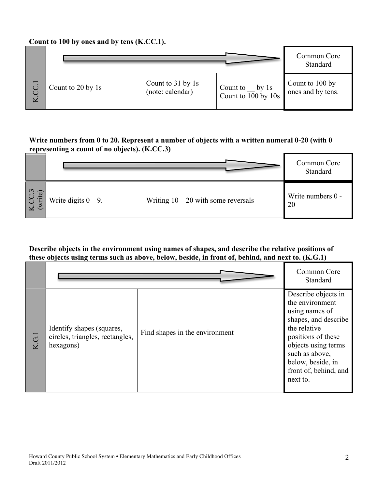# **Count to 100 by ones and by tens (K.CC.1).**

|          |                   |                   |                                  | Common Core<br>Standard |
|----------|-------------------|-------------------|----------------------------------|-------------------------|
| <u>.</u> | Count to 20 by 1s | Count to 31 by 1s | Count to $\_\_$ by 1s            | Count to 100 by         |
| $\geq$   |                   | (note: calendar)  | Count to $\overline{100}$ by 10s | ones and by tens.       |

# **Write numbers from 0 to 20. Represent a number of objects with a written numeral 0-20 (with 0 representing a count of no objects). (K.CC.3)**

|                          |                        |                                       | Common Core<br>Standard |
|--------------------------|------------------------|---------------------------------------|-------------------------|
| $\epsilon$<br><b>ute</b> | Write digits $0 - 9$ . | Writing $10 - 20$ with some reversals | Write numbers 0 -<br>20 |

### **Describe objects in the environment using names of shapes, and describe the relative positions of these objects using terms such as above, below, beside, in front of, behind, and next to. (K.G.1)**

|                                           |                                                                           |                                | Common Core<br>Standard                                                                                                                                                                                                   |
|-------------------------------------------|---------------------------------------------------------------------------|--------------------------------|---------------------------------------------------------------------------------------------------------------------------------------------------------------------------------------------------------------------------|
| $\overline{G}$<br>$\overline{\mathbf{K}}$ | Identify shapes (squares,<br>circles, triangles, rectangles,<br>hexagons) | Find shapes in the environment | Describe objects in<br>the environment<br>using names of<br>shapes, and describe<br>the relative<br>positions of these<br>objects using terms<br>such as above,<br>below, beside, in<br>front of, behind, and<br>next to. |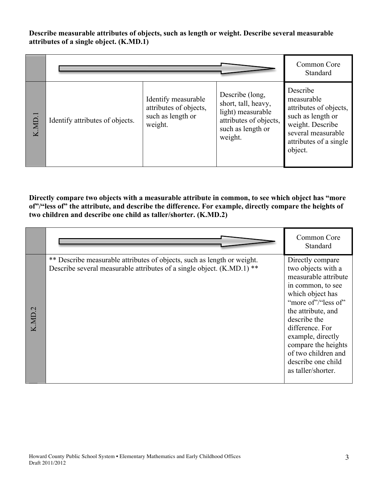### **Describe measurable attributes of objects, such as length or weight. Describe several measurable attributes of a single object. (K.MD.1)**

|             |                                 |                                                                               |                                                                                                                       | Common Core<br>Standard                                                                                                                              |
|-------------|---------------------------------|-------------------------------------------------------------------------------|-----------------------------------------------------------------------------------------------------------------------|------------------------------------------------------------------------------------------------------------------------------------------------------|
| ⊣.<br>K.MD. | Identify attributes of objects. | Identify measurable<br>attributes of objects,<br>such as length or<br>weight. | Describe (long,<br>short, tall, heavy,<br>light) measurable<br>attributes of objects,<br>such as length or<br>weight. | Describe<br>measurable<br>attributes of objects,<br>such as length or<br>weight. Describe<br>several measurable<br>attributes of a single<br>object. |

**Directly compare two objects with a measurable attribute in common, to see which object has "more of"/"less of" the attribute, and describe the difference. For example, directly compare the heights of two children and describe one child as taller/shorter. (K.MD.2)**

|        |                                                                                                                                                   | Common Core<br>Standard                                                                                                                                                                                                                                                                                |
|--------|---------------------------------------------------------------------------------------------------------------------------------------------------|--------------------------------------------------------------------------------------------------------------------------------------------------------------------------------------------------------------------------------------------------------------------------------------------------------|
| K.MD.2 | ** Describe measurable attributes of objects, such as length or weight.<br>Describe several measurable attributes of a single object. (K.MD.1) ** | Directly compare<br>two objects with a<br>measurable attribute<br>in common, to see<br>which object has<br>"more of"/"less of"<br>the attribute, and<br>describe the<br>difference. For<br>example, directly<br>compare the heights<br>of two children and<br>describe one child<br>as taller/shorter. |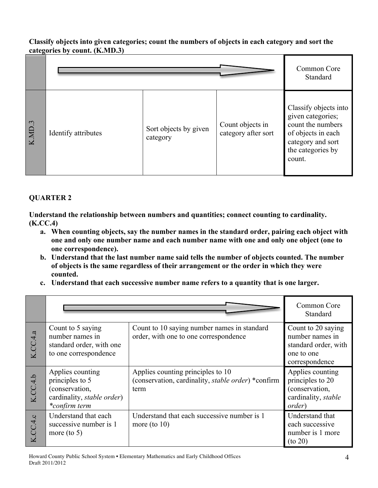#### **Classify objects into given categories; count the numbers of objects in each category and sort the categories by count. (K.MD.3)**

|        |                     |                                   |                                         | Common Core<br>Standard                                                                                                                   |
|--------|---------------------|-----------------------------------|-----------------------------------------|-------------------------------------------------------------------------------------------------------------------------------------------|
| K.MD.3 | Identify attributes | Sort objects by given<br>category | Count objects in<br>category after sort | Classify objects into<br>given categories;<br>count the numbers<br>of objects in each<br>category and sort<br>the categories by<br>count. |

# **QUARTER 2**

**Understand the relationship between numbers and quantities; connect counting to cardinality. (K.CC.4)**

- **a. When counting objects, say the number names in the standard order, pairing each object with one and only one number name and each number name with one and only one object (one to one correspondence).**
- **b. Understand that the last number name said tells the number of objects counted. The number of objects is the same regardless of their arrangement or the order in which they were counted.**
- **c. Understand that each successive number name refers to a quantity that is one larger.**

|          |                                                                                                              |                                                                                                 | Common Core<br>Standard                                                                       |
|----------|--------------------------------------------------------------------------------------------------------------|-------------------------------------------------------------------------------------------------|-----------------------------------------------------------------------------------------------|
| K.CC.4.a | Count to 5 saying<br>number names in<br>standard order, with one<br>to one correspondence                    | Count to 10 saying number names in standard<br>order, with one to one correspondence            | Count to 20 saying<br>number names in<br>standard order, with<br>one to one<br>correspondence |
| K.CC.4.b | Applies counting<br>principles to 5<br>(conservation,<br>cardinality, <i>stable order</i> )<br>*confirm term | Applies counting principles to 10<br>(conservation, cardinality, stable order) *confirm<br>term | Applies counting<br>principles to 20<br>(conservation,<br>cardinality, stable<br>order)       |
| K.CC.4.c | Understand that each<br>successive number is 1<br>more (to $5$ )                                             | Understand that each successive number is 1<br>more (to $10$ )                                  | Understand that<br>each successive<br>number is 1 more<br>$($ to 20 $)$                       |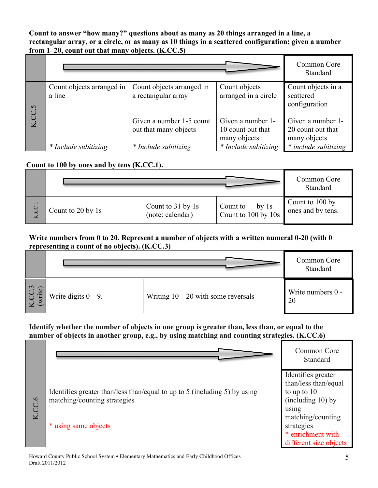**Count to answer "how many?" questions about as many as 20 things arranged in a line, a rectangular array, or a circle, or as many as 10 things in a scattered configuration; given a number from 1–20, count out that many objects. (K.CC.5)**

|                         |                                     |                                                   |                                                        | Common Core<br>Standard                                |
|-------------------------|-------------------------------------|---------------------------------------------------|--------------------------------------------------------|--------------------------------------------------------|
| CC.5                    | Count objects arranged in<br>a line | Count objects arranged in<br>a rectangular array  | Count objects<br>arranged in a circle                  | Count objects in a<br>scattered<br>configuration       |
| $\overline{\mathbf{K}}$ |                                     | Given a number 1-5 count<br>out that many objects | Given a number 1-<br>10 count out that<br>many objects | Given a number 1-<br>20 count out that<br>many objects |
|                         | * Include subitizing                | * Include subitizing                              | * Include subitizing                                   | * include subitizing                                   |

#### **Count to 100 by ones and by tens (K.CC.1).**

|           |                   |                                       |                                            | Common Core<br>Standard              |
|-----------|-------------------|---------------------------------------|--------------------------------------------|--------------------------------------|
| CC.1<br>× | Count to 20 by 1s | Count to 31 by 1s<br>(note: calendar) | by $1s$<br>Count to<br>Count to 100 by 10s | Count to 100 by<br>ones and by tens. |

#### **Write numbers from 0 to 20. Represent a number of objects with a written numeral 0-20 (with 0 representing a count of no objects). (K.CC.3)**

|                                   |                        |                                       | Common Core<br>Standard |
|-----------------------------------|------------------------|---------------------------------------|-------------------------|
| $\ddot{\phantom{1}}$<br>ite<br> C | Write digits $0 - 9$ . | Writing $10 - 20$ with some reversals | Write numbers 0 -<br>20 |

**Identify whether the number of objects in one group is greater than, less than, or equal to the number of objects in another group, e.g., by using matching and counting strategies. (K.CC.6)**

|                                    |                                                                                                           | Common Core<br>Standard                                                                                      |
|------------------------------------|-----------------------------------------------------------------------------------------------------------|--------------------------------------------------------------------------------------------------------------|
| $\circ$<br>$\overline{\mathbf{K}}$ | Identifies greater than/less than/equal to up to 5 (including 5) by using<br>matching/counting strategies | Identifies greater<br>than/less than/equal<br>to up to 10<br>(including 10) by<br>using<br>matching/counting |
|                                    | * using same objects                                                                                      | strategies<br>* enrichment with<br>different size objects                                                    |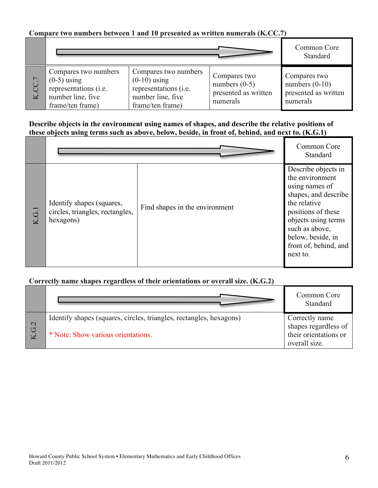# **Compare two numbers between 1 and 10 presented as written numerals (K.CC.7)**

|             |                                                                                                         |                                                                                                          |                                                                     | Common Core<br>Standard                                              |
|-------------|---------------------------------------------------------------------------------------------------------|----------------------------------------------------------------------------------------------------------|---------------------------------------------------------------------|----------------------------------------------------------------------|
| $\boxtimes$ | Compares two numbers<br>$(0-5)$ using<br>representations (i.e.<br>number line, five<br>frame/ten frame) | Compares two numbers<br>$(0-10)$ using<br>representations (i.e.<br>number line, five<br>frame/ten frame) | Compares two<br>numbers $(0-5)$<br>presented as written<br>numerals | Compares two<br>numbers $(0-10)$<br>presented as written<br>numerals |

### **Describe objects in the environment using names of shapes, and describe the relative positions of these objects using terms such as above, below, beside, in front of, behind, and next to. (K.G.1)**

|                                           |                                                                           |                                | Common Core<br>Standard                                                                                                                                                                                                   |
|-------------------------------------------|---------------------------------------------------------------------------|--------------------------------|---------------------------------------------------------------------------------------------------------------------------------------------------------------------------------------------------------------------------|
| $\overline{G}$<br>$\overline{\mathbf{K}}$ | Identify shapes (squares,<br>circles, triangles, rectangles,<br>hexagons) | Find shapes in the environment | Describe objects in<br>the environment<br>using names of<br>shapes, and describe<br>the relative<br>positions of these<br>objects using terms<br>such as above,<br>below, beside, in<br>front of, behind, and<br>next to. |

### **Correctly name shapes regardless of their orientations or overall size. (K.G.2)**

|     |                                                                     | Common Core<br>Standard                |
|-----|---------------------------------------------------------------------|----------------------------------------|
| G.2 | Identify shapes (squares, circles, triangles, rectangles, hexagons) | Correctly name<br>shapes regardless of |
|     | * Note: Show various orientations.                                  | their orientations or<br>overall size. |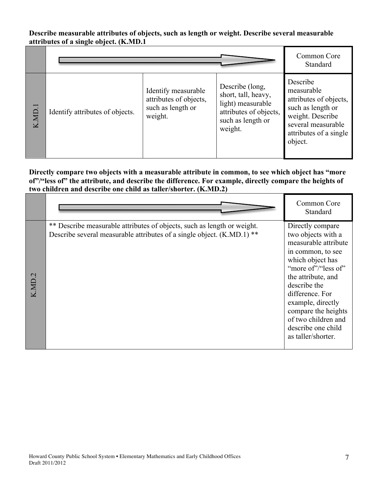#### **Describe measurable attributes of objects, such as length or weight. Describe several measurable attributes of a single object. (K.MD.1**

|        |                                 |                                                                               |                                                                                                                       | Common Core<br>Standard                                                                                                                              |
|--------|---------------------------------|-------------------------------------------------------------------------------|-----------------------------------------------------------------------------------------------------------------------|------------------------------------------------------------------------------------------------------------------------------------------------------|
| K.MD.1 | Identify attributes of objects. | Identify measurable<br>attributes of objects,<br>such as length or<br>weight. | Describe (long,<br>short, tall, heavy,<br>light) measurable<br>attributes of objects,<br>such as length or<br>weight. | Describe<br>measurable<br>attributes of objects,<br>such as length or<br>weight. Describe<br>several measurable<br>attributes of a single<br>object. |

### **Directly compare two objects with a measurable attribute in common, to see which object has "more of"/"less of" the attribute, and describe the difference. For example, directly compare the heights of two children and describe one child as taller/shorter. (K.MD.2)**

|                                      |                                                                                                                                                   | Common Core<br>Standard                                                                                                                                                                                                                                                                                |
|--------------------------------------|---------------------------------------------------------------------------------------------------------------------------------------------------|--------------------------------------------------------------------------------------------------------------------------------------------------------------------------------------------------------------------------------------------------------------------------------------------------------|
| $\tilde{\mathcal{L}}$<br><b>K.MD</b> | ** Describe measurable attributes of objects, such as length or weight.<br>Describe several measurable attributes of a single object. (K.MD.1) ** | Directly compare<br>two objects with a<br>measurable attribute<br>in common, to see<br>which object has<br>"more of"/"less of"<br>the attribute, and<br>describe the<br>difference. For<br>example, directly<br>compare the heights<br>of two children and<br>describe one child<br>as taller/shorter. |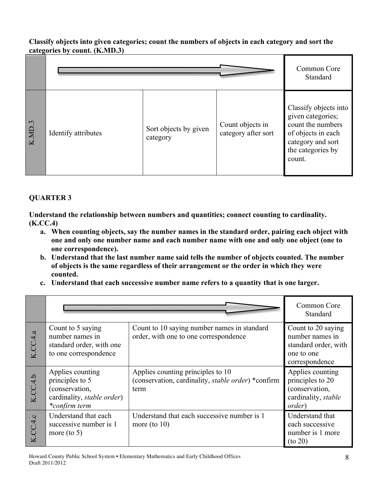#### **Classify objects into given categories; count the numbers of objects in each category and sort the categories by count. (K.MD.3)**

|        |                     |                                   |                                         | Common Core<br>Standard                                                                                                                   |
|--------|---------------------|-----------------------------------|-----------------------------------------|-------------------------------------------------------------------------------------------------------------------------------------------|
| K.MD.3 | Identify attributes | Sort objects by given<br>category | Count objects in<br>category after sort | Classify objects into<br>given categories;<br>count the numbers<br>of objects in each<br>category and sort<br>the categories by<br>count. |

# **QUARTER 3**

**Understand the relationship between numbers and quantities; connect counting to cardinality. (K.CC.4)**

- **a. When counting objects, say the number names in the standard order, pairing each object with one and only one number name and each number name with one and only one object (one to one correspondence).**
- **b. Understand that the last number name said tells the number of objects counted. The number of objects is the same regardless of their arrangement or the order in which they were counted.**
- **c. Understand that each successive number name refers to a quantity that is one larger.**

|          |                                                                                                              |                                                                                                 | Common Core<br>Standard                                                                       |
|----------|--------------------------------------------------------------------------------------------------------------|-------------------------------------------------------------------------------------------------|-----------------------------------------------------------------------------------------------|
| K.CC.4.a | Count to 5 saying<br>number names in<br>standard order, with one<br>to one correspondence                    | Count to 10 saying number names in standard<br>order, with one to one correspondence            | Count to 20 saying<br>number names in<br>standard order, with<br>one to one<br>correspondence |
| K.CC.4.b | Applies counting<br>principles to 5<br>(conservation,<br>cardinality, <i>stable order</i> )<br>*confirm term | Applies counting principles to 10<br>(conservation, cardinality, stable order) *confirm<br>term | Applies counting<br>principles to 20<br>(conservation,<br>cardinality, stable<br>order)       |
| K.CC.4.c | Understand that each<br>successive number is 1<br>more (to $5$ )                                             | Understand that each successive number is 1<br>more (to $10$ )                                  | Understand that<br>each successive<br>number is 1 more<br>$($ to 20 $)$                       |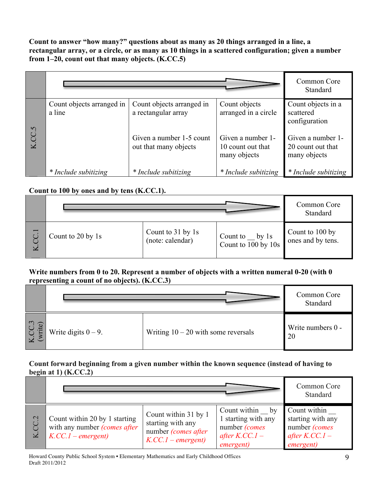**Count to answer "how many?" questions about as many as 20 things arranged in a line, a rectangular array, or a circle, or as many as 10 things in a scattered configuration; given a number from 1–20, count out that many objects. (K.CC.5)**

|        |                                     |                                                   |                                                        | Common Core<br><b>Standard</b>                         |
|--------|-------------------------------------|---------------------------------------------------|--------------------------------------------------------|--------------------------------------------------------|
|        | Count objects arranged in<br>a line | Count objects arranged in<br>a rectangular array  | Count objects<br>arranged in a circle                  | Count objects in a<br>scattered<br>configuration       |
| K.CC.5 |                                     | Given a number 1-5 count<br>out that many objects | Given a number 1-<br>10 count out that<br>many objects | Given a number 1-<br>20 count out that<br>many objects |
|        | * Include subitizing                | * Include subitizing                              | * Include subitizing                                   | * Include subitizing                                   |

# **Count to 100 by ones and by tens (K.CC.1).**

|                          |                   |                                       |                                                               | Common Core<br>Standard              |
|--------------------------|-------------------|---------------------------------------|---------------------------------------------------------------|--------------------------------------|
| $\overline{\phantom{0}}$ | Count to 20 by 1s | Count to 31 by 1s<br>(note: calendar) | $_{\rm{by}1s}$<br>Count to<br>Count to $\frac{1}{100}$ by 10s | Count to 100 by<br>ones and by tens. |

#### **Write numbers from 0 to 20. Represent a number of objects with a written numeral 0-20 (with 0 representing a count of no objects). (K.CC.3)**

|                            |                        |                                       | Common Core<br>Standard |
|----------------------------|------------------------|---------------------------------------|-------------------------|
| $\epsilon$<br>$\mathbf{H}$ | Write digits $0 - 9$ . | Writing $10 - 20$ with some reversals | Write numbers 0 -<br>20 |

### **Count forward beginning from a given number within the known sequence (instead of having to begin at 1) (K.CC.2)**

|              |                                                                                     |                                                                                        |                                                                                          | Common Core<br>Standard                                                                     |
|--------------|-------------------------------------------------------------------------------------|----------------------------------------------------------------------------------------|------------------------------------------------------------------------------------------|---------------------------------------------------------------------------------------------|
| $\mathbf{C}$ | Count within 20 by 1 starting<br>with any number (comes after<br>$K.CC.I-emergent)$ | Count within 31 by 1<br>starting with any<br>number (comes after<br>$K.CC.I-emergent)$ | Count within by<br>1 starting with any<br>number (comes<br>after $K.CC.1$ –<br>emergent) | Count within<br>starting with any<br>number (comes<br>after $K.CC.1$ –<br><i>emergent</i> ) |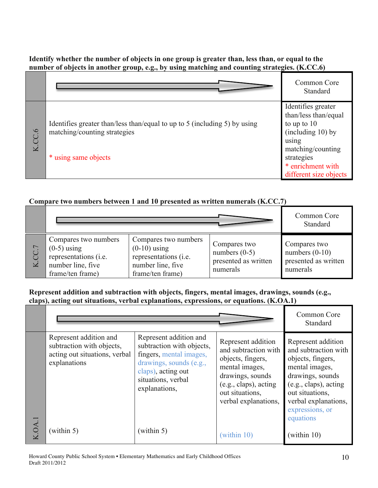## **Identify whether the number of objects in one group is greater than, less than, or equal to the number of objects in another group, e.g., by using matching and counting strategies. (K.CC.6)**

|                                        |                                                                                                                                   | Common Core<br>Standard                                                                                                                                                       |
|----------------------------------------|-----------------------------------------------------------------------------------------------------------------------------------|-------------------------------------------------------------------------------------------------------------------------------------------------------------------------------|
| $\tilde{e}$<br>$\overline{\mathbf{K}}$ | Identifies greater than/less than/equal to up to 5 (including 5) by using<br>matching/counting strategies<br>* using same objects | Identifies greater<br>than/less than/equal<br>to up to $10$<br>$(including 10)$ by<br>using<br>matching/counting<br>strategies<br>* enrichment with<br>different size objects |

# **Compare two numbers between 1 and 10 presented as written numerals (K.CC.7)**

|   |                                                                                                         |                                                                                                          |                                                                     | Common Core<br>Standard                                              |
|---|---------------------------------------------------------------------------------------------------------|----------------------------------------------------------------------------------------------------------|---------------------------------------------------------------------|----------------------------------------------------------------------|
| K | Compares two numbers<br>$(0-5)$ using<br>representations (i.e.<br>number line, five<br>frame/ten frame) | Compares two numbers<br>$(0-10)$ using<br>representations (i.e.<br>number line, five<br>frame/ten frame) | Compares two<br>numbers $(0-5)$<br>presented as written<br>numerals | Compares two<br>numbers $(0-10)$<br>presented as written<br>numerals |

#### **Represent addition and subtraction with objects, fingers, mental images, drawings, sounds (e.g., claps), acting out situations, verbal explanations, expressions, or equations. (K.OA.1)**

|        |                                                                                                      |                                                                                                                                                                        |                                                                                                                                                                           | Common Core<br>Standard                                                                                                                                                                                   |
|--------|------------------------------------------------------------------------------------------------------|------------------------------------------------------------------------------------------------------------------------------------------------------------------------|---------------------------------------------------------------------------------------------------------------------------------------------------------------------------|-----------------------------------------------------------------------------------------------------------------------------------------------------------------------------------------------------------|
|        | Represent addition and<br>subtraction with objects,<br>acting out situations, verbal<br>explanations | Represent addition and<br>subtraction with objects,<br>fingers, mental images,<br>drawings, sounds (e.g.,<br>claps), acting out<br>situations, verbal<br>explanations, | Represent addition<br>and subtraction with<br>objects, fingers,<br>mental images,<br>drawings, sounds<br>(e.g., claps), acting<br>out situations,<br>verbal explanations, | Represent addition<br>and subtraction with<br>objects, fingers,<br>mental images,<br>drawings, sounds<br>(e.g., claps), acting<br>out situations,<br>verbal explanations,<br>expressions, or<br>equations |
| K.OA.1 | (within 5)                                                                                           | (within 5)                                                                                                                                                             | (within 10)                                                                                                                                                               | (within 10)                                                                                                                                                                                               |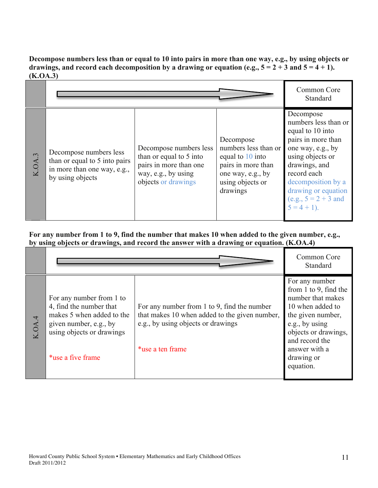**Decompose numbers less than or equal to 10 into pairs in more than one way, e.g., by using objects or**  drawings, and record each decomposition by a drawing or equation (e.g.,  $5 = 2 + 3$  and  $5 = 4 + 1$ ). **(K.OA.3)**

|        |                                                                                                            |                                                                                                                           |                                                                                                                                  | Common Core<br>Standard                                                                                                                                                                                                                       |
|--------|------------------------------------------------------------------------------------------------------------|---------------------------------------------------------------------------------------------------------------------------|----------------------------------------------------------------------------------------------------------------------------------|-----------------------------------------------------------------------------------------------------------------------------------------------------------------------------------------------------------------------------------------------|
| K.OA.3 | Decompose numbers less<br>than or equal to 5 into pairs<br>in more than one way, e.g.,<br>by using objects | Decompose numbers less<br>than or equal to 5 into<br>pairs in more than one<br>way, e.g., by using<br>objects or drawings | Decompose<br>numbers less than or<br>equal to 10 into<br>pairs in more than<br>one way, e.g., by<br>using objects or<br>drawings | Decompose<br>numbers less than or<br>equal to 10 into<br>pairs in more than<br>one way, e.g., by<br>using objects or<br>drawings, and<br>record each<br>decomposition by a<br>drawing or equation<br>(e.g., $5 = 2 + 3$ and<br>$5 = 4 + 1$ ). |

**For any number from 1 to 9, find the number that makes 10 when added to the given number, e.g., by using objects or drawings, and record the answer with a drawing or equation. (K.OA.4)**

|        |                                                                                                                                                              |                                                                                                                                                        | Common Core<br>Standard                                                                                                                                                                                            |
|--------|--------------------------------------------------------------------------------------------------------------------------------------------------------------|--------------------------------------------------------------------------------------------------------------------------------------------------------|--------------------------------------------------------------------------------------------------------------------------------------------------------------------------------------------------------------------|
| K.OA.4 | For any number from 1 to<br>4, find the number that<br>makes 5 when added to the<br>given number, e.g., by<br>using objects or drawings<br>*use a five frame | For any number from 1 to 9, find the number<br>that makes 10 when added to the given number,<br>e.g., by using objects or drawings<br>*use a ten frame | For any number<br>from $1$ to $9$ , find the<br>number that makes<br>10 when added to<br>the given number,<br>e.g., by using<br>objects or drawings,<br>and record the<br>answer with a<br>drawing or<br>equation. |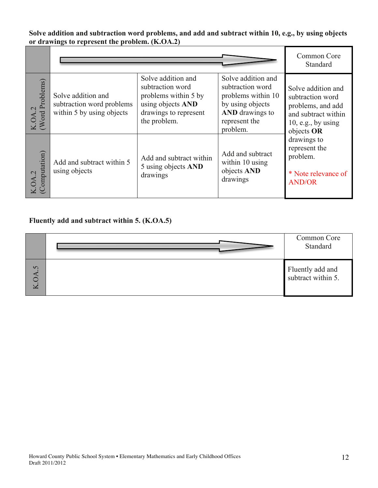**Solve addition and subtraction word problems, and add and subtract within 10, e.g., by using objects or drawings to represent the problem. (K.OA.2)**

|                                |                                                                              |                                                                                                                              |                                                                                                                                  | Common Core<br>Standard                                                                                                |
|--------------------------------|------------------------------------------------------------------------------|------------------------------------------------------------------------------------------------------------------------------|----------------------------------------------------------------------------------------------------------------------------------|------------------------------------------------------------------------------------------------------------------------|
| Problems)<br>K.OA.2<br>(Word P | Solve addition and<br>subtraction word problems<br>within 5 by using objects | Solve addition and<br>subtraction word<br>problems within 5 by<br>using objects AND<br>drawings to represent<br>the problem. | Solve addition and<br>subtraction word<br>problems within 10<br>by using objects<br>AND drawings to<br>represent the<br>problem. | Solve addition and<br>subtraction word<br>problems, and add<br>and subtract within<br>10, e.g., by using<br>objects OR |
| $K.OA.2$<br>(Computation)      | Add and subtract within 5<br>using objects                                   | Add and subtract within<br>5 using objects AND<br>drawings                                                                   | Add and subtract<br>within 10 using<br>objects AND<br>drawings                                                                   | drawings to<br>represent the<br>problem.<br>* Note relevance of<br><b>AND/OR</b>                                       |

# **Fluently add and subtract within 5. (K.OA.5)**

|          | Common Core<br>Standard                |
|----------|----------------------------------------|
| $\Omega$ | Fluently add and<br>subtract within 5. |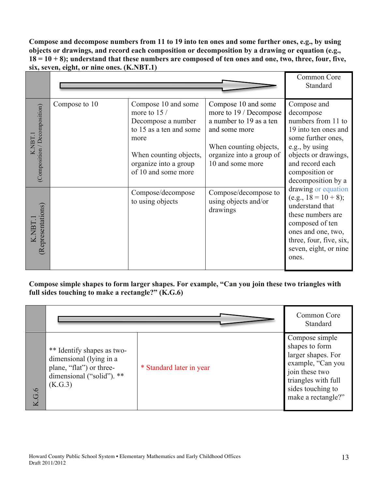**Compose and decompose numbers from 11 to 19 into ten ones and some further ones, e.g., by using objects or drawings, and record each composition or decomposition by a drawing or equation (e.g., 18 = 10 + 8); understand that these numbers are composed of ten ones and one, two, three, four, five, six, seven, eight, or nine ones. (K.NBT.1)**

|                                         |               |                                                                                                                                                                        |                                                                                                                                                                     | Common Core<br>Standard                                                                                                                                                                                                                                                                                                                                                                          |
|-----------------------------------------|---------------|------------------------------------------------------------------------------------------------------------------------------------------------------------------------|---------------------------------------------------------------------------------------------------------------------------------------------------------------------|--------------------------------------------------------------------------------------------------------------------------------------------------------------------------------------------------------------------------------------------------------------------------------------------------------------------------------------------------------------------------------------------------|
| (Composition / Decomposition)<br>K.NBT. | Compose to 10 | Compose 10 and some<br>more to 15 /<br>Decompose a number<br>to 15 as a ten and some<br>more<br>When counting objects,<br>organize into a group<br>of 10 and some more | Compose 10 and some<br>more to 19 / Decompose<br>a number to 19 as a ten<br>and some more<br>When counting objects,<br>organize into a group of<br>10 and some more | Compose and<br>decompose<br>numbers from 11 to<br>19 into ten ones and<br>some further ones,<br>e.g., by using<br>objects or drawings,<br>and record each<br>composition or<br>decomposition by a<br>drawing or equation<br>$(e.g., 18 = 10 + 8);$<br>understand that<br>these numbers are<br>composed of ten<br>ones and one, two,<br>three, four, five, six,<br>seven, eight, or nine<br>ones. |
| (Representations)<br>K.NBT.             |               | Compose/decompose<br>to using objects                                                                                                                                  | Compose/decompose to<br>using objects and/or<br>drawings                                                                                                            |                                                                                                                                                                                                                                                                                                                                                                                                  |

# **Compose simple shapes to form larger shapes. For example, "Can you join these two triangles with full sides touching to make a rectangle?" (K.G.6)**

|       |                                                                                                                          |                          | Common Core<br>Standard                                                                                                                                         |
|-------|--------------------------------------------------------------------------------------------------------------------------|--------------------------|-----------------------------------------------------------------------------------------------------------------------------------------------------------------|
| K.G.6 | ** Identify shapes as two-<br>dimensional (lying in a<br>plane, "flat" or three-<br>dimensional ("solid"). **<br>(K.G.3) | * Standard later in year | Compose simple<br>shapes to form<br>larger shapes. For<br>example, "Can you<br>join these two<br>triangles with full<br>sides touching to<br>make a rectangle?" |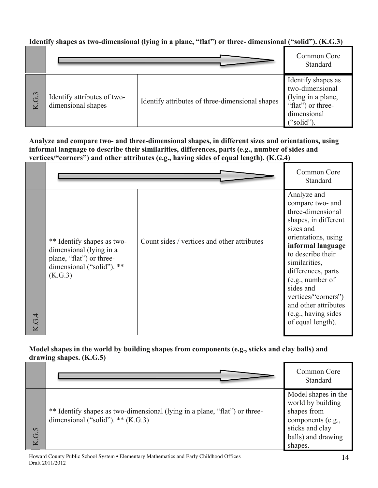# **Identify shapes as two-dimensional (lying in a plane, "flat") or three- dimensional ("solid"). (K.G.3)**

|          |                                                   |                                                 | Common Core<br>Standard                                                                                      |
|----------|---------------------------------------------------|-------------------------------------------------|--------------------------------------------------------------------------------------------------------------|
| G.3<br>K | Identify attributes of two-<br>dimensional shapes | Identify attributes of three-dimensional shapes | Identify shapes as<br>two-dimensional<br>(lying in a plane,<br>"flat") or three-<br>dimensional<br>("solid") |

**Analyze and compare two- and three-dimensional shapes, in different sizes and orientations, using informal language to describe their similarities, differences, parts (e.g., number of sides and vertices/"corners") and other attributes (e.g., having sides of equal length). (K.G.4)**

|       |                                                                                                                           |                                             | Common Core<br>Standard                                                                                                                                                                                                                                                                                                       |
|-------|---------------------------------------------------------------------------------------------------------------------------|---------------------------------------------|-------------------------------------------------------------------------------------------------------------------------------------------------------------------------------------------------------------------------------------------------------------------------------------------------------------------------------|
| K.G.4 | ** Identify shapes as two-<br>dimensional (lying in a<br>plane, "flat") or three-<br>dimensional ("solid"). **<br>(K.G.3) | Count sides / vertices and other attributes | Analyze and<br>compare two- and<br>three-dimensional<br>shapes, in different<br>sizes and<br>orientations, using<br>informal language<br>to describe their<br>similarities,<br>differences, parts<br>(e.g., number of<br>sides and<br>vertices/"corners")<br>and other attributes<br>(e.g., having sides<br>of equal length). |

### **Model shapes in the world by building shapes from components (e.g., sticks and clay balls) and drawing shapes. (K.G.5)**

|       |                                                                                                                   | Common Core<br>Standard                                                                                                          |
|-------|-------------------------------------------------------------------------------------------------------------------|----------------------------------------------------------------------------------------------------------------------------------|
| K.G.5 | ** Identify shapes as two-dimensional (lying in a plane, "flat") or three-<br>dimensional ("solid"). ** $(K.G.3)$ | Model shapes in the<br>world by building<br>shapes from<br>components (e.g.,<br>sticks and clay<br>balls) and drawing<br>shapes. |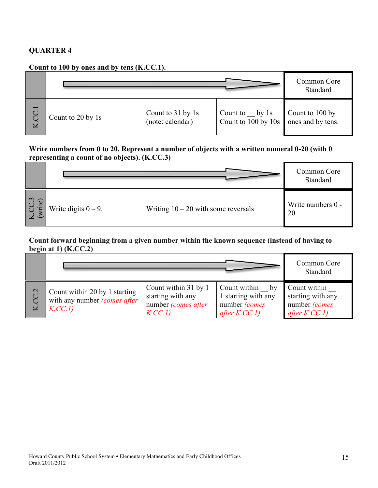### **QUARTER 4**

# **Count to 100 by ones and by tens (K.CC.1).**

|                                                 |                   |                                       |                                                                   | Common Core<br>Standard |
|-------------------------------------------------|-------------------|---------------------------------------|-------------------------------------------------------------------|-------------------------|
| $\overline{\phantom{0}}$<br>$\overline{C}$<br>K | Count to 20 by 1s | Count to 31 by 1s<br>(note: calendar) | Count to by $1s$<br>Count to 100 by 10s $\vert$ ones and by tens. | Count to 100 by         |

#### **Write numbers from 0 to 20. Represent a number of objects with a written numeral 0-20 (with 0 representing a count of no objects). (K.CC.3)**

|                     |                        |                                       | Common Core<br>Standard |
|---------------------|------------------------|---------------------------------------|-------------------------|
| $\mathbf{c}$<br>Ίte | Write digits $0 - 9$ . | Writing $10 - 20$ with some reversals | Write numbers 0 -<br>20 |

#### **Count forward beginning from a given number within the known sequence (instead of having to begin at 1) (K.CC.2)**

|             |                                                                                 |                                                                            |                                                                                         | Common Core<br>Standard                                              |
|-------------|---------------------------------------------------------------------------------|----------------------------------------------------------------------------|-----------------------------------------------------------------------------------------|----------------------------------------------------------------------|
| $\mathbf 2$ | Count within 20 by 1 starting<br>with any number <i>(comes after</i><br>K.CC.1) | Count within 31 by 1<br>starting with any<br>number (comes after<br>K.CC.I | Count within<br>$_{\rm by}$<br>1 starting with any<br>number (comes<br>after $K.C.C.1)$ | Count within<br>starting with any<br>number (comes<br>after $K.CC.1$ |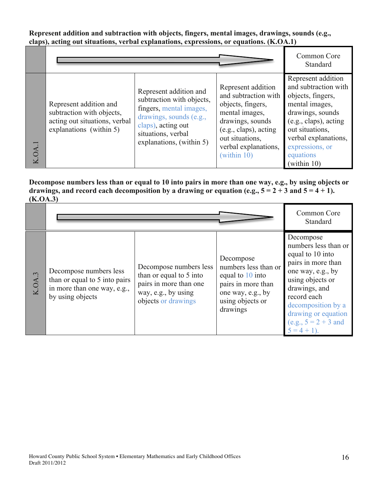**Represent addition and subtraction with objects, fingers, mental images, drawings, sounds (e.g., claps), acting out situations, verbal explanations, expressions, or equations. (K.OA.1)**

|               |                                                                                                                 |                                                                                                                                                                                   |                                                                                                                                                                                          | Common Core<br>Standard                                                                                                                                                                                                  |
|---------------|-----------------------------------------------------------------------------------------------------------------|-----------------------------------------------------------------------------------------------------------------------------------------------------------------------------------|------------------------------------------------------------------------------------------------------------------------------------------------------------------------------------------|--------------------------------------------------------------------------------------------------------------------------------------------------------------------------------------------------------------------------|
| <b>K.OA.1</b> | Represent addition and<br>subtraction with objects,<br>acting out situations, verbal<br>explanations (within 5) | Represent addition and<br>subtraction with objects,<br>fingers, mental images,<br>drawings, sounds (e.g.,<br>claps), acting out<br>situations, verbal<br>explanations, (within 5) | Represent addition<br>and subtraction with<br>objects, fingers,<br>mental images,<br>drawings, sounds<br>(e.g., claps), acting<br>out situations,<br>verbal explanations,<br>(within 10) | Represent addition<br>and subtraction with<br>objects, fingers,<br>mental images,<br>drawings, sounds<br>(e.g., claps), acting<br>out situations,<br>verbal explanations,<br>expressions, or<br>equations<br>(within 10) |

**Decompose numbers less than or equal to 10 into pairs in more than one way, e.g., by using objects or**  drawings, and record each decomposition by a drawing or equation (e.g.,  $5 = 2 + 3$  and  $5 = 4 + 1$ ). **(K.OA.3)**

|        |                                                                                                            |                                                                                                                           |                                                                                                                                  | Common Core<br>Standard                                                                                                                                                                                                                        |
|--------|------------------------------------------------------------------------------------------------------------|---------------------------------------------------------------------------------------------------------------------------|----------------------------------------------------------------------------------------------------------------------------------|------------------------------------------------------------------------------------------------------------------------------------------------------------------------------------------------------------------------------------------------|
| K.OA.3 | Decompose numbers less<br>than or equal to 5 into pairs<br>in more than one way, e.g.,<br>by using objects | Decompose numbers less<br>than or equal to 5 into<br>pairs in more than one<br>way, e.g., by using<br>objects or drawings | Decompose<br>numbers less than or<br>equal to 10 into<br>pairs in more than<br>one way, e.g., by<br>using objects or<br>drawings | Decompose<br>numbers less than or<br>equal to 10 into<br>pairs in more than<br>one way, e.g., by<br>using objects or<br>drawings, and<br>record each<br>decomposition by a<br>drawing or equation<br>$(e.g., 5 = 2 + 3 and)$<br>$5 = 4 + 1$ ). |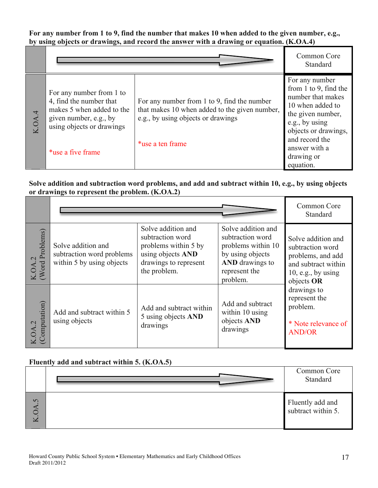**For any number from 1 to 9, find the number that makes 10 when added to the given number, e.g., by using objects or drawings, and record the answer with a drawing or equation. (K.OA.4)**

|        |                                                                                                                                                              |                                                                                                                                                        | Common Core<br>Standard                                                                                                                                                                                       |
|--------|--------------------------------------------------------------------------------------------------------------------------------------------------------------|--------------------------------------------------------------------------------------------------------------------------------------------------------|---------------------------------------------------------------------------------------------------------------------------------------------------------------------------------------------------------------|
| K.OA.4 | For any number from 1 to<br>4, find the number that<br>makes 5 when added to the<br>given number, e.g., by<br>using objects or drawings<br>*use a five frame | For any number from 1 to 9, find the number<br>that makes 10 when added to the given number,<br>e.g., by using objects or drawings<br>*use a ten frame | For any number<br>from 1 to 9, find the<br>number that makes<br>10 when added to<br>the given number,<br>e.g., by using<br>objects or drawings,<br>and record the<br>answer with a<br>drawing or<br>equation. |

### **Solve addition and subtraction word problems, and add and subtract within 10, e.g., by using objects or drawings to represent the problem. (K.OA.2)**

|                                            |                                                                              |                                                                                                                              |                                                                                                                                         | Common Core<br>Standard                                                                                                |
|--------------------------------------------|------------------------------------------------------------------------------|------------------------------------------------------------------------------------------------------------------------------|-----------------------------------------------------------------------------------------------------------------------------------------|------------------------------------------------------------------------------------------------------------------------|
| Problems)<br>$\dot{\mathcal{L}}$<br>K.OA.2 | Solve addition and<br>subtraction word problems<br>within 5 by using objects | Solve addition and<br>subtraction word<br>problems within 5 by<br>using objects AND<br>drawings to represent<br>the problem. | Solve addition and<br>subtraction word<br>problems within 10<br>by using objects<br><b>AND</b> drawings to<br>represent the<br>problem. | Solve addition and<br>subtraction word<br>problems, and add<br>and subtract within<br>10, e.g., by using<br>objects OR |
| omputation)                                | Add and subtract within 5<br>using objects                                   | Add and subtract within<br>5 using objects AND<br>drawings                                                                   | Add and subtract<br>within 10 using<br>objects AND<br>drawings                                                                          | drawings to<br>represent the<br>problem.<br>* Note relevance of<br><b>AND/OR</b>                                       |

### **Fluently add and subtract within 5. (K.OA.5)**

|               | Common Core<br>Standard                |
|---------------|----------------------------------------|
| $\Omega$<br>K | Fluently add and<br>subtract within 5. |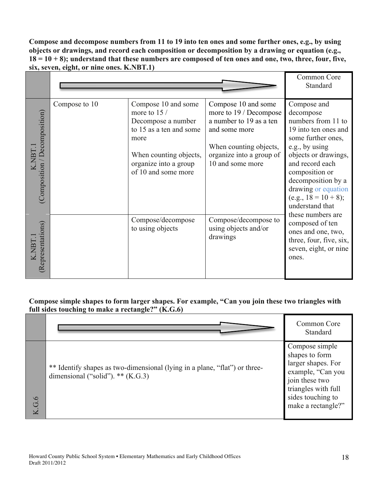**Compose and decompose numbers from 11 to 19 into ten ones and some further ones, e.g., by using objects or drawings, and record each composition or decomposition by a drawing or equation (e.g., 18 = 10 + 8); understand that these numbers are composed of ten ones and one, two, three, four, five, six, seven, eight, or nine ones. K.NBT.1)**

|                                               |               |                                                                                                                                                                         |                                                                                                                                                                     | Common Core<br>Standard                                                                                                                                                                                                                                                                    |
|-----------------------------------------------|---------------|-------------------------------------------------------------------------------------------------------------------------------------------------------------------------|---------------------------------------------------------------------------------------------------------------------------------------------------------------------|--------------------------------------------------------------------------------------------------------------------------------------------------------------------------------------------------------------------------------------------------------------------------------------------|
| Decomposition)<br><b>NBT.1</b><br>Composition | Compose to 10 | Compose 10 and some<br>more to $15/$<br>Decompose a number<br>to 15 as a ten and some<br>more<br>When counting objects,<br>organize into a group<br>of 10 and some more | Compose 10 and some<br>more to 19 / Decompose<br>a number to 19 as a ten<br>and some more<br>When counting objects,<br>organize into a group of<br>10 and some more | Compose and<br>decompose<br>numbers from 11 to<br>19 into ten ones and<br>some further ones,<br>e.g., by using<br>objects or drawings,<br>and record each<br>composition or<br>decomposition by a<br>drawing or equation<br>$(e.g., 18 = 10 + 8);$<br>understand that<br>these numbers are |
| Representations)<br>K.NBT.                    |               | Compose/decompose<br>to using objects                                                                                                                                   | Compose/decompose to<br>using objects and/or<br>drawings                                                                                                            | composed of ten<br>ones and one, two,<br>three, four, five, six,<br>seven, eight, or nine<br>ones.                                                                                                                                                                                         |

# **Compose simple shapes to form larger shapes. For example, "Can you join these two triangles with full sides touching to make a rectangle?" (K.G.6)**

|         |                                                                                                                   | Common Core<br>Standard                                                                                                                                         |
|---------|-------------------------------------------------------------------------------------------------------------------|-----------------------------------------------------------------------------------------------------------------------------------------------------------------|
| $\circ$ | ** Identify shapes as two-dimensional (lying in a plane, "flat") or three-<br>dimensional ("solid"). $**$ (K.G.3) | Compose simple<br>shapes to form<br>larger shapes. For<br>example, "Can you<br>join these two<br>triangles with full<br>sides touching to<br>make a rectangle?" |